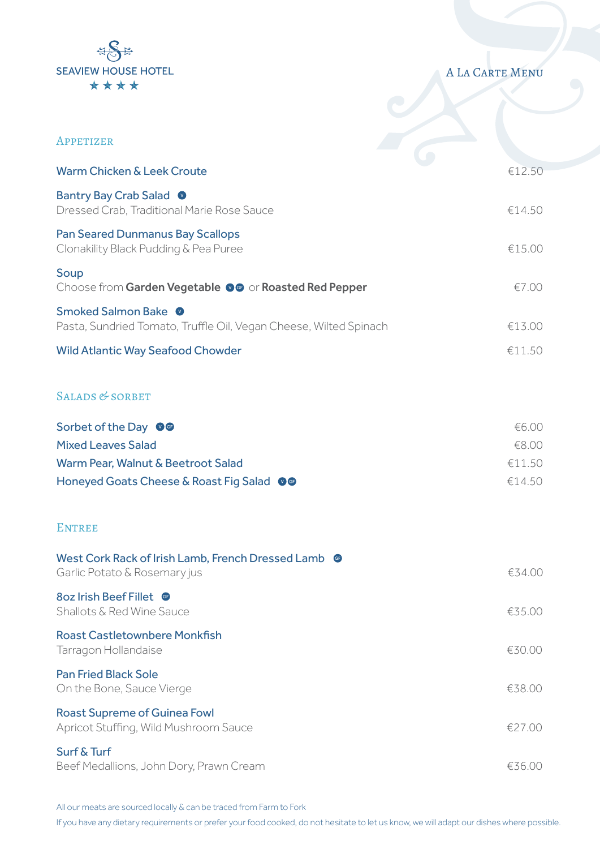

## A La Carte Menu

| APPETIZER                                                                                            |        |
|------------------------------------------------------------------------------------------------------|--------|
| Warm Chicken & Leek Croute                                                                           | €12.50 |
| Bantry Bay Crab Salad <sup>O</sup><br>Dressed Crab, Traditional Marie Rose Sauce                     | €14.50 |
| <b>Pan Seared Dunmanus Bay Scallops</b><br>Clonakility Black Pudding & Pea Puree                     | €15.00 |
| Soup<br>Choose from Garden Vegetable OG or Roasted Red Pepper                                        | €7.00  |
| Smoked Salmon Bake <sup>O</sup><br>Pasta, Sundried Tomato, Truffle Oil, Vegan Cheese, Wilted Spinach | €13.00 |
| <b>Wild Atlantic Way Seafood Chowder</b>                                                             | €11.50 |
| SALADS & SORBET                                                                                      |        |
| Sorbet of the Day 06                                                                                 | €6.00  |
| <b>Mixed Leaves Salad</b>                                                                            | €8.00  |
| Warm Pear, Walnut & Beetroot Salad                                                                   | €11.50 |
| Honeyed Goats Cheese & Roast Fig Salad OG                                                            | €14.50 |
| <b>ENTREE</b>                                                                                        |        |
| West Cork Rack of Irish Lamb, French Dressed Lamb @<br>Garlic Potato & Rosemary jus                  | €34.00 |
| Shallots & Red Wine Sauce                                                                            | €35.00 |
| <b>Roast Castletownbere Monkfish</b><br>Tarragon Hollandaise                                         | €30.00 |
| <b>Pan Fried Black Sole</b><br>On the Bone, Sauce Vierge                                             | €38.00 |
| <b>Roast Supreme of Guinea Fowl</b><br>Apricot Stuffing, Wild Mushroom Sauce                         | €27.00 |
| Surf & Turf<br>Beef Medallions, John Dory, Prawn Cream                                               | €36.00 |

All our meats are sourced locally & can be traced from Farm to Fork

If you have any dietary requirements or prefer your food cooked, do not hesitate to let us know, we will adapt our dishes where possible.